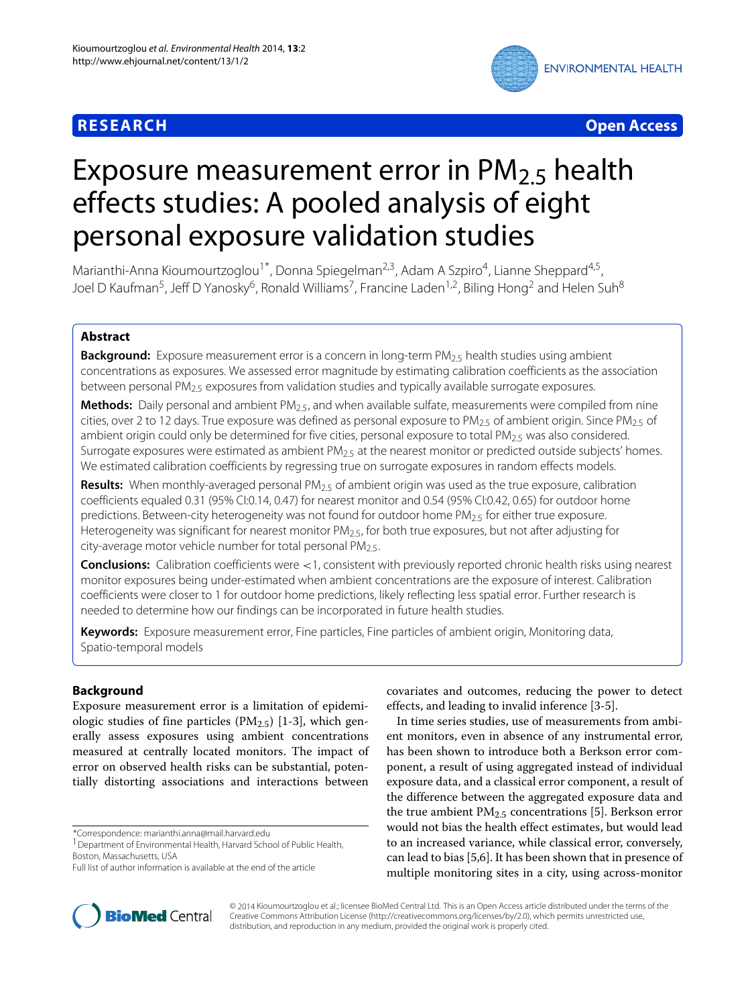

**RESEARCH Open Access**

# Exposure measurement error in  $PM<sub>2.5</sub>$  health effects studies: A pooled analysis of eight personal exposure validation studies

Marianthi-Anna Kioumourtzoglou<sup>1\*</sup>, Donna Spiegelman<sup>2,3</sup>, Adam A Szpiro<sup>4</sup>, Lianne Sheppard<sup>4,5</sup>, Joel D Kaufman<sup>5</sup>, Jeff D Yanosky<sup>6</sup>, Ronald Williams<sup>7</sup>, Francine Laden<sup>1,2</sup>, Biling Hong<sup>2</sup> and Helen Suh<sup>8</sup>

# **Abstract**

**Background:** Exposure measurement error is a concern in long-term PM<sub>2.5</sub> health studies using ambient concentrations as exposures. We assessed error magnitude by estimating calibration coefficients as the association between personal  $PM_{2.5}$  exposures from validation studies and typically available surrogate exposures.

Methods: Daily personal and ambient PM<sub>2.5</sub>, and when available sulfate, measurements were compiled from nine cities, over 2 to 12 days. True exposure was defined as personal exposure to  $PM_{2.5}$  of ambient origin. Since  $PM_{2.5}$  of ambient origin could only be determined for five cities, personal exposure to total PM $_{2.5}$  was also considered. Surrogate exposures were estimated as ambient  $PM_{2.5}$  at the nearest monitor or predicted outside subjects' homes. We estimated calibration coefficients by regressing true on surrogate exposures in random effects models.

Results: When monthly-averaged personal PM<sub>2.5</sub> of ambient origin was used as the true exposure, calibration coefficients equaled 0.31 (95% CI:0.14, 0.47) for nearest monitor and 0.54 (95% CI:0.42, 0.65) for outdoor home predictions. Between-city heterogeneity was not found for outdoor home  $PM_{2.5}$  for either true exposure. Heterogeneity was significant for nearest monitor  $PM_{2.5}$ , for both true exposures, but not after adjusting for city-average motor vehicle number for total personal  $PM<sub>2.5</sub>$ .

**Conclusions:** Calibration coefficients were *<*1, consistent with previously reported chronic health risks using nearest monitor exposures being under-estimated when ambient concentrations are the exposure of interest. Calibration coefficients were closer to 1 for outdoor home predictions, likely reflecting less spatial error. Further research is needed to determine how our findings can be incorporated in future health studies.

**Keywords:** Exposure measurement error, Fine particles, Fine particles of ambient origin, Monitoring data, Spatio-temporal models

# **Background**

Exposure measurement error is a limitation of epidemiologic studies of fine particles  $(PM_{2.5})$  [\[1-](#page-8-0)[3\]](#page-8-1), which generally assess exposures using ambient concentrations measured at centrally located monitors. The impact of error on observed health risks can be substantial, potentially distorting associations and interactions between

\*Correspondence: marianthi.anna@mail.harvard.edu



In time series studies, use of measurements from ambient monitors, even in absence of any instrumental error, has been shown to introduce both a Berkson error component, a result of using aggregated instead of individual exposure data, and a classical error component, a result of the difference between the aggregated exposure data and the true ambient PM2.5 concentrations [\[5\]](#page-8-2). Berkson error would not bias the health effect estimates, but would lead to an increased variance, while classical error, conversely, can lead to bias [\[5,](#page-8-2)[6\]](#page-9-0). It has been shown that in presence of multiple monitoring sites in a city, using across-monitor



© 2014 Kioumourtzoglou et al.; licensee BioMed Central Ltd. This is an Open Access article distributed under the terms of the Creative Commons Attribution License [\(http://creativecommons.org/licenses/by/2.0\)](http://creativecommons.org/licenses/by/2.0), which permits unrestricted use, distribution, and reproduction in any medium, provided the original work is properly cited.

<sup>&</sup>lt;sup>1</sup> Department of Environmental Health, Harvard School of Public Health, Boston, Massachusetts, USA

Full list of author information is available at the end of the article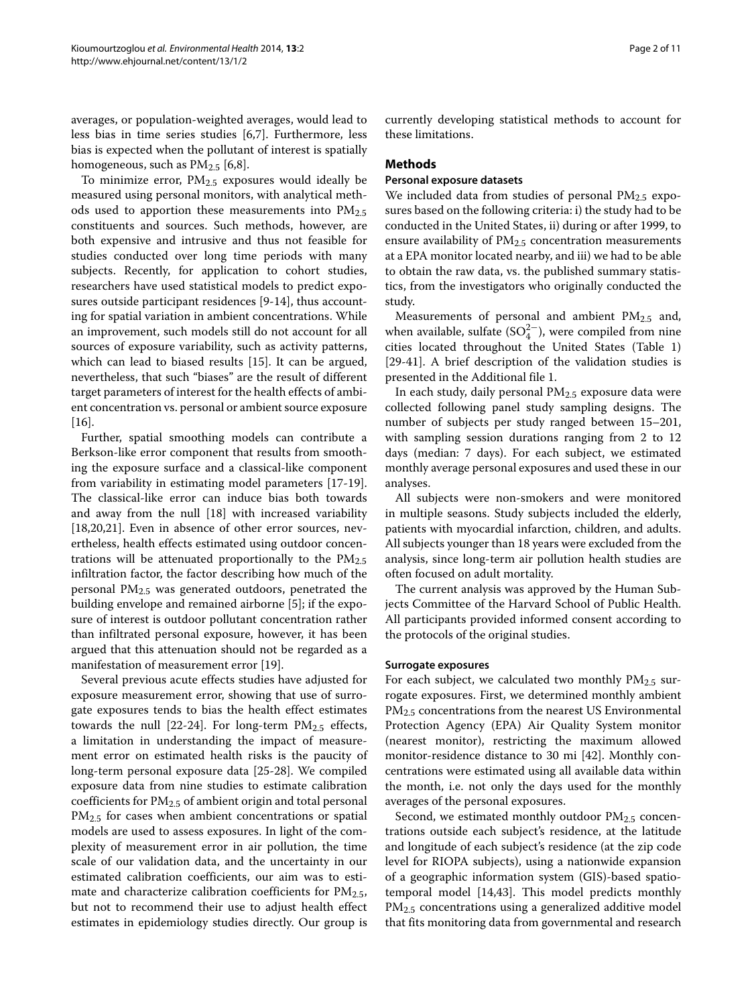averages, or population-weighted averages, would lead to less bias in time series studies [\[6](#page-9-0)[,7\]](#page-9-1). Furthermore, less bias is expected when the pollutant of interest is spatially homogeneous, such as  $PM_{2.5}$  [\[6,](#page-9-0)[8\]](#page-9-2).

To minimize error,  $PM<sub>2.5</sub>$  exposures would ideally be measured using personal monitors, with analytical methods used to apportion these measurements into  $PM_{2.5}$ constituents and sources. Such methods, however, are both expensive and intrusive and thus not feasible for studies conducted over long time periods with many subjects. Recently, for application to cohort studies, researchers have used statistical models to predict exposures outside participant residences [\[9-](#page-9-3)[14\]](#page-9-4), thus accounting for spatial variation in ambient concentrations. While an improvement, such models still do not account for all sources of exposure variability, such as activity patterns, which can lead to biased results [\[15\]](#page-9-5). It can be argued, nevertheless, that such "biases" are the result of different target parameters of interest for the health effects of ambient concentration vs. personal or ambient source exposure [\[16\]](#page-9-6).

Further, spatial smoothing models can contribute a Berkson-like error component that results from smoothing the exposure surface and a classical-like component from variability in estimating model parameters [\[17](#page-9-7)[-19\]](#page-9-8). The classical-like error can induce bias both towards and away from the null [\[18\]](#page-9-9) with increased variability [\[18](#page-9-9)[,20](#page-9-10)[,21\]](#page-9-11). Even in absence of other error sources, nevertheless, health effects estimated using outdoor concentrations will be attenuated proportionally to the  $PM_{2.5}$ infiltration factor, the factor describing how much of the personal PM2.5 was generated outdoors, penetrated the building envelope and remained airborne [\[5\]](#page-8-2); if the exposure of interest is outdoor pollutant concentration rather than infiltrated personal exposure, however, it has been argued that this attenuation should not be regarded as a manifestation of measurement error [\[19\]](#page-9-8).

Several previous acute effects studies have adjusted for exposure measurement error, showing that use of surrogate exposures tends to bias the health effect estimates towards the null  $[22-24]$  $[22-24]$ . For long-term  $PM_{2.5}$  effects, a limitation in understanding the impact of measurement error on estimated health risks is the paucity of long-term personal exposure data [\[25-](#page-9-14)[28\]](#page-9-15). We compiled exposure data from nine studies to estimate calibration coefficients for PM2.5 of ambient origin and total personal  $PM_{2.5}$  for cases when ambient concentrations or spatial models are used to assess exposures. In light of the complexity of measurement error in air pollution, the time scale of our validation data, and the uncertainty in our estimated calibration coefficients, our aim was to estimate and characterize calibration coefficients for  $PM_{2.5}$ , but not to recommend their use to adjust health effect estimates in epidemiology studies directly. Our group is

currently developing statistical methods to account for these limitations.

# **Methods**

### **Personal exposure datasets**

We included data from studies of personal PM<sub>2.5</sub> exposures based on the following criteria: i) the study had to be conducted in the United States, ii) during or after 1999, to ensure availability of PM<sub>2.5</sub> concentration measurements at a EPA monitor located nearby, and iii) we had to be able to obtain the raw data, vs. the published summary statistics, from the investigators who originally conducted the study.

Measurements of personal and ambient PM<sub>2.5</sub> and, when available, sulfate (SO $_4^{2-}$ ), were compiled from nine cities located throughout the United States (Table [1\)](#page-2-0) [\[29-](#page-9-16)[41\]](#page-9-17). A brief description of the validation studies is presented in the Additional file [1.](#page-8-3)

In each study, daily personal PM2.5 exposure data were collected following panel study sampling designs. The number of subjects per study ranged between 15–201, with sampling session durations ranging from 2 to 12 days (median: 7 days). For each subject, we estimated monthly average personal exposures and used these in our analyses.

All subjects were non-smokers and were monitored in multiple seasons. Study subjects included the elderly, patients with myocardial infarction, children, and adults. All subjects younger than 18 years were excluded from the analysis, since long-term air pollution health studies are often focused on adult mortality.

The current analysis was approved by the Human Subjects Committee of the Harvard School of Public Health. All participants provided informed consent according to the protocols of the original studies.

#### **Surrogate exposures**

For each subject, we calculated two monthly  $PM_{2.5}$  surrogate exposures. First, we determined monthly ambient PM<sub>2.5</sub> concentrations from the nearest US Environmental Protection Agency (EPA) Air Quality System monitor (nearest monitor), restricting the maximum allowed monitor-residence distance to 30 mi [\[42\]](#page-9-18). Monthly concentrations were estimated using all available data within the month, i.e. not only the days used for the monthly averages of the personal exposures.

Second, we estimated monthly outdoor  $PM<sub>2.5</sub>$  concentrations outside each subject's residence, at the latitude and longitude of each subject's residence (at the zip code level for RIOPA subjects), using a nationwide expansion of a geographic information system (GIS)-based spatiotemporal model [\[14,](#page-9-4)[43\]](#page-9-19). This model predicts monthly PM2.5 concentrations using a generalized additive model that fits monitoring data from governmental and research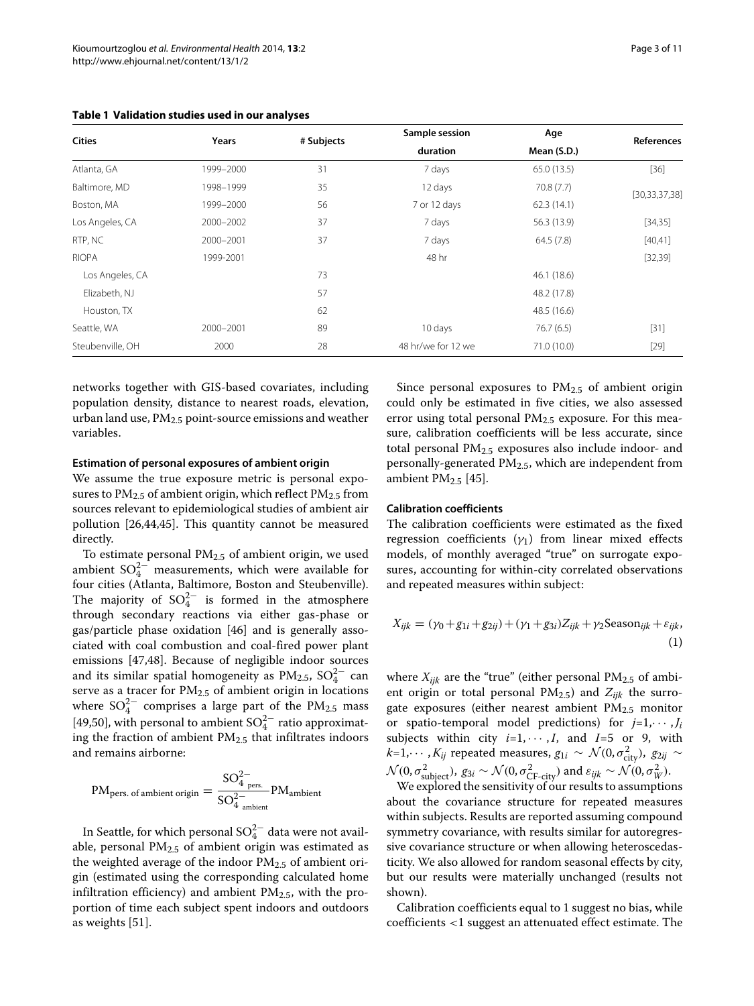| <b>Cities</b>    | Years     | # Subjects | Sample session     | Age         | References       |  |
|------------------|-----------|------------|--------------------|-------------|------------------|--|
|                  |           |            | duration           | Mean (S.D.) |                  |  |
| Atlanta, GA      | 1999-2000 | 31         | 7 days             | 65.0(13.5)  | $[36]$           |  |
| Baltimore, MD    | 1998-1999 | 35         | 12 days            | 70.8(7.7)   | [30, 33, 37, 38] |  |
| Boston, MA       | 1999-2000 | 56         | 7 or 12 days       | 62.3(14.1)  |                  |  |
| Los Angeles, CA  | 2000-2002 | 37         | 7 days             | 56.3 (13.9) | [34, 35]         |  |
| RTP, NC          | 2000-2001 | 37         | 7 days             | 64.5(7.8)   | [40, 41]         |  |
| <b>RIOPA</b>     | 1999-2001 |            | 48 hr              |             | [32, 39]         |  |
| Los Angeles, CA  |           | 73         |                    | 46.1 (18.6) |                  |  |
| Elizabeth, NJ    |           | 57         |                    | 48.2 (17.8) |                  |  |
| Houston, TX      |           | 62         |                    | 48.5 (16.6) |                  |  |
| Seattle, WA      | 2000-2001 | 89         | 10 days            | 76.7(6.5)   | $[31]$           |  |
| Steubenville, OH | 2000      | 28         | 48 hr/we for 12 we | 71.0 (10.0) | $[29]$           |  |

<span id="page-2-0"></span>**Table 1 Validation studies used in our analyses**

networks together with GIS-based covariates, including population density, distance to nearest roads, elevation, urban land use,  $PM_{2.5}$  point-source emissions and weather variables.

# **Estimation of personal exposures of ambient origin**

We assume the true exposure metric is personal exposures to  $PM_{2.5}$  of ambient origin, which reflect  $PM_{2.5}$  from sources relevant to epidemiological studies of ambient air pollution [\[26,](#page-9-31)[44,](#page-9-32)[45\]](#page-9-33). This quantity cannot be measured directly.

To estimate personal  $PM<sub>2.5</sub>$  of ambient origin, we used ambient  $SO_4^{2-}$  measurements, which were available for four cities (Atlanta, Baltimore, Boston and Steubenville). The majority of  $SO_4^{2-}$  is formed in the atmosphere through secondary reactions via either gas-phase or gas/particle phase oxidation [\[46\]](#page-10-0) and is generally associated with coal combustion and coal-fired power plant emissions [\[47,](#page-10-1)[48\]](#page-10-2). Because of negligible indoor sources and its similar spatial homogeneity as  $PM_{2.5}$ ,  $SO_4^{2-}$  can serve as a tracer for  $PM_{2.5}$  of ambient origin in locations where  $SO_4^{2-}$  comprises a large part of the PM<sub>2.5</sub> mass [\[49](#page-10-3)[,50\]](#page-10-4), with personal to ambient  $SO_4^{2-}$  ratio approximating the fraction of ambient  $PM<sub>2.5</sub>$  that infiltrates indoors and remains airborne:

$$
PMpers. of ambient origin = \frac{SO42pers.}{SO42ambient}PMambient
$$

In Seattle, for which personal  $\mathrm{SO}_4^{2-}$  data were not available, personal  $PM<sub>2.5</sub>$  of ambient origin was estimated as the weighted average of the indoor  $PM_{2.5}$  of ambient origin (estimated using the corresponding calculated home infiltration efficiency) and ambient  $PM_{2.5}$ , with the proportion of time each subject spent indoors and outdoors as weights [\[51\]](#page-10-5).

Since personal exposures to  $PM_{2.5}$  of ambient origin could only be estimated in five cities, we also assessed error using total personal  $PM<sub>2.5</sub>$  exposure. For this measure, calibration coefficients will be less accurate, since total personal  $PM<sub>2.5</sub>$  exposures also include indoor- and personally-generated PM2.5, which are independent from ambient  $PM_{2.5}$  [\[45\]](#page-9-33).

#### **Calibration coefficients**

The calibration coefficients were estimated as the fixed regression coefficients  $(\gamma_1)$  from linear mixed effects models, of monthly averaged "true" on surrogate exposures, accounting for within-city correlated observations and repeated measures within subject:

<span id="page-2-1"></span>
$$
X_{ijk} = (\gamma_0 + g_{1i} + g_{2ij}) + (\gamma_1 + g_{3i})Z_{ijk} + \gamma_2 \text{Season}_{ijk} + \varepsilon_{ijk},
$$
\n(1)

where  $X_{ijk}$  are the "true" (either personal  $PM_{2.5}$  of ambient origin or total personal  $PM_{2.5}$ ) and  $Z_{ijk}$  the surrogate exposures (either nearest ambient  $PM_{2.5}$  monitor or spatio-temporal model predictions) for  $j=1,\dots, J_i$ subjects within city  $i=1, \cdots, I$ , and  $I=5$  or 9, with  $k$ =1, $\cdots$  ,  $K_{ij}$  repeated measures,  $g_{1i} \sim \mathcal{N}(0, \sigma_{\text{city}}^2)$ ,  $g_{2ij} \sim$  $\mathcal{N}(0, \sigma_{\text{subject}}^2)$ ,  $g_{3i} \sim \mathcal{N}(0, \sigma_{\text{CF-city}}^2)$  and  $\varepsilon_{ijk} \sim \mathcal{N}(0, \sigma_{W}^2)$ .

We explored the sensitivity of our results to assumptions about the covariance structure for repeated measures within subjects. Results are reported assuming compound symmetry covariance, with results similar for autoregressive covariance structure or when allowing heteroscedasticity. We also allowed for random seasonal effects by city, but our results were materially unchanged (results not shown).

Calibration coefficients equal to 1 suggest no bias, while coefficients *<*1 suggest an attenuated effect estimate. The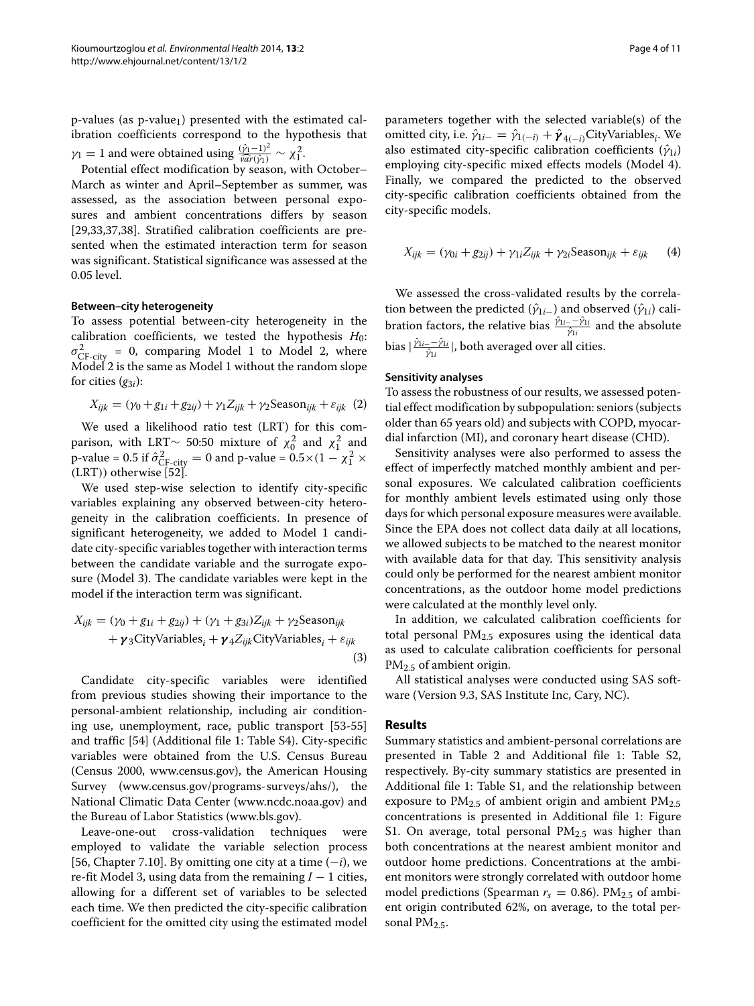$p$ -values (as  $p$ -value<sub>1</sub>) presented with the estimated calibration coefficients correspond to the hypothesis that *γ*<sub>1</sub> = 1 and were obtained using  $\frac{(\hat{y}_1 - 1)^2}{\hat{var}(\hat{y}_1)} \sim \chi_1^2$ .

Potential effect modification by season, with October– March as winter and April–September as summer, was assessed, as the association between personal exposures and ambient concentrations differs by season [\[29](#page-9-16)[,33](#page-9-22)[,37](#page-9-23)[,38\]](#page-9-24). Stratified calibration coefficients are presented when the estimated interaction term for season was significant. Statistical significance was assessed at the 0.05 level.

# **Between–city heterogeneity**

To assess potential between-city heterogeneity in the calibration coefficients, we tested the hypothesis  $H_0$ :  $\sigma_{\text{CF-city}}^2 = 0$ , comparing Model [1](#page-2-1) to Model [2,](#page-3-0) where Model [2](#page-3-0) is the same as Model [1](#page-2-1) without the random slope for cities  $(q_{3i})$ :

<span id="page-3-0"></span>
$$
X_{ijk} = (\gamma_0 + g_{1i} + g_{2ij}) + \gamma_1 Z_{ijk} + \gamma_2 \text{Season}_{ijk} + \varepsilon_{ijk} \tag{2}
$$

We used a likelihood ratio test (LRT) for this comparison, with LRT∼ 50:50 mixture of  $\chi_0^2$  and  $\chi_1^2$  and p-value = 0.5 if  $\hat{\sigma}_{\text{CF-city}}^2 = 0$  and p-value =  $0.5 \times (1 - \chi_1^2 \times$ *(*LRT*))* otherwise [\[52\]](#page-10-6).

We used step-wise selection to identify city-specific variables explaining any observed between-city heterogeneity in the calibration coefficients. In presence of significant heterogeneity, we added to Model [1](#page-2-1) candidate city-specific variables together with interaction terms between the candidate variable and the surrogate exposure (Model [3\)](#page-3-1). The candidate variables were kept in the model if the interaction term was significant.

$$
X_{ijk} = (\gamma_0 + g_{1i} + g_{2ij}) + (\gamma_1 + g_{3i})Z_{ijk} + \gamma_2 \text{Season}_{ijk}
$$
  
+  $\gamma_3 \text{CityVariables}_i + \gamma_4 Z_{ijk} \text{CityVariables}_i + \varepsilon_{ijk}$  (3)

Candidate city-specific variables were identified from previous studies showing their importance to the personal-ambient relationship, including air conditioning use, unemployment, race, public transport [\[53](#page-10-7)[-55\]](#page-10-8) and traffic [\[54\]](#page-10-9) (Additional file [1:](#page-8-3) Table S4). City-specific variables were obtained from the U.S. Census Bureau (Census 2000, [www.census.gov\)](www.census.gov), the American Housing Survey [\(www.census.gov/programs-surveys/ahs/\)](www.census.gov/programs-surveys/ahs/), the National Climatic Data Center [\(www.ncdc.noaa.gov\)](www.ncdc.noaa.gov) and the Bureau of Labor Statistics [\(www.bls.gov\)](www.bls.gov).

Leave-one-out cross-validation techniques were employed to validate the variable selection process [\[56,](#page-10-10) Chapter 7.10]. By omitting one city at a time (−*i*), we re-fit Model [3,](#page-3-1) using data from the remaining *I* − 1 cities, allowing for a different set of variables to be selected each time. We then predicted the city-specific calibration coefficient for the omitted city using the estimated model

parameters together with the selected variable(s) of the omitted city, i.e.  $\hat{\gamma}_{1i-} = \hat{\gamma}_{1(-i)} + \hat{\gamma}_{4(-i)}$ CityVariables<sub>*i*</sub>. We also estimated city-specific calibration coefficients  $(\hat{\gamma}_{1i})$ employing city-specific mixed effects models (Model [4\)](#page-3-2). Finally, we compared the predicted to the observed city-specific calibration coefficients obtained from the city-specific models.

<span id="page-3-2"></span>
$$
X_{ijk} = (\gamma_{0i} + g_{2ij}) + \gamma_{1i} Z_{ijk} + \gamma_{2i} \text{Season}_{ijk} + \varepsilon_{ijk} \tag{4}
$$

We assessed the cross-validated results by the correlation between the predicted ( $\hat{\gamma}_{1i-}$ ) and observed ( $\hat{\gamma}_{1i}$ ) cali**bration factors, the relative bias**  $\frac{\hat{\gamma}_{1i}-\hat{\gamma}_{1i}}{\hat{\gamma}_{1i}}$  and the absolute *p*ias |  $\frac{\hat{\gamma}_{1i}-\hat{\gamma}_{1i}}{\hat{\gamma}_{1i}}$ |, both averaged over all cities.

#### **Sensitivity analyses**

To assess the robustness of our results, we assessed potential effect modification by subpopulation: seniors (subjects older than 65 years old) and subjects with COPD, myocardial infarction (MI), and coronary heart disease (CHD).

Sensitivity analyses were also performed to assess the effect of imperfectly matched monthly ambient and personal exposures. We calculated calibration coefficients for monthly ambient levels estimated using only those days for which personal exposure measures were available. Since the EPA does not collect data daily at all locations, we allowed subjects to be matched to the nearest monitor with available data for that day. This sensitivity analysis could only be performed for the nearest ambient monitor concentrations, as the outdoor home model predictions were calculated at the monthly level only.

<span id="page-3-1"></span>In addition, we calculated calibration coefficients for total personal PM2.5 exposures using the identical data as used to calculate calibration coefficients for personal PM<sub>2.5</sub> of ambient origin.

All statistical analyses were conducted using SAS software (Version 9.3, SAS Institute Inc, Cary, NC).

#### **Results**

Summary statistics and ambient-personal correlations are presented in Table [2](#page-4-0) and Additional file [1:](#page-8-3) Table S2, respectively. By-city summary statistics are presented in Additional file [1:](#page-8-3) Table S1, and the relationship between exposure to  $PM<sub>2.5</sub>$  of ambient origin and ambient  $PM<sub>2.5</sub>$ concentrations is presented in Additional file [1:](#page-8-3) Figure S1. On average, total personal  $PM<sub>2.5</sub>$  was higher than both concentrations at the nearest ambient monitor and outdoor home predictions. Concentrations at the ambient monitors were strongly correlated with outdoor home model predictions (Spearman  $r_s = 0.86$ ). PM<sub>2.5</sub> of ambient origin contributed 62%, on average, to the total personal PM $2.5$ .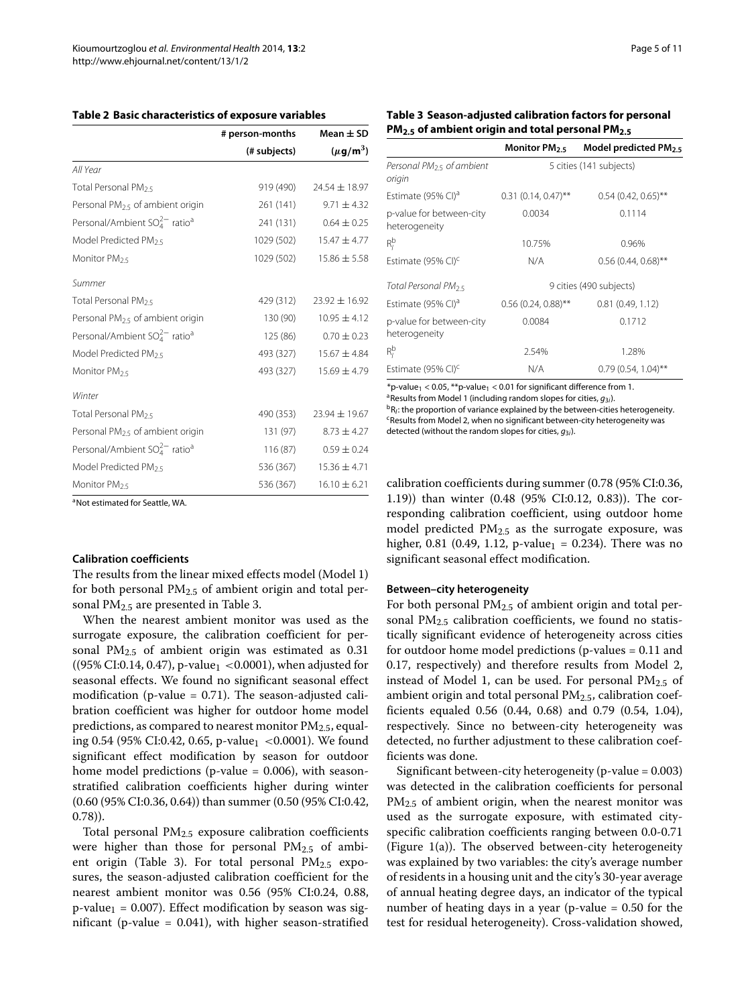<span id="page-4-0"></span>

| Table 2 Basic characteristics of exposure variables |  |
|-----------------------------------------------------|--|
|-----------------------------------------------------|--|

|                                                 | # person-months | Mean $\pm$ SD             |  |
|-------------------------------------------------|-----------------|---------------------------|--|
|                                                 | (# subjects)    | $(\mu$ g/m <sup>3</sup> ) |  |
| All Year                                        |                 |                           |  |
| Total Personal PM <sub>25</sub>                 | 919 (490)       | $24.54 \pm 18.97$         |  |
| Personal PM <sub>2.5</sub> of ambient origin    | 261(141)        | $9.71 \pm 4.32$           |  |
| Personal/Ambient $SO_4^{2-}$ ratio <sup>a</sup> | 241 (131)       | $0.64 \pm 0.25$           |  |
| Model Predicted PM <sub>25</sub>                | 1029 (502)      | $15.47 \pm 4.77$          |  |
| Monitor PM <sub>25</sub>                        | 1029 (502)      | $15.86 \pm 5.58$          |  |
| Summer                                          |                 |                           |  |
| Total Personal PM <sub>25</sub>                 | 429 (312)       | $23.92 \pm 16.92$         |  |
| Personal PM <sub>25</sub> of ambient origin     | 130 (90)        | $10.95 \pm 4.12$          |  |
| Personal/Ambient $SO_4^{2-}$ ratio <sup>a</sup> | 125 (86)        | $0.70 \pm 0.23$           |  |
| Model Predicted PM <sub>25</sub>                | 493 (327)       | $15.67 \pm 4.84$          |  |
| Monitor PM <sub>25</sub>                        | 493 (327)       | $15.69 \pm 4.79$          |  |
| Winter                                          |                 |                           |  |
| Total Personal PM <sub>25</sub>                 | 490 (353)       | 23.94 ± 19.67             |  |
| Personal PM <sub>2.5</sub> of ambient origin    | 131 (97)        | $8.73 \pm 4.27$           |  |
| Personal/Ambient $SO_4^{2-}$ ratio <sup>a</sup> | 116 (87)        | $0.59 \pm 0.24$           |  |
| Model Predicted PM <sub>25</sub>                | 536 (367)       | $15.36 \pm 4.71$          |  |
| Monitor PM <sub>2.5</sub>                       | 536 (367)       | $16.10 \pm 6.21$          |  |

<span id="page-4-1"></span>**Table 3 Season-adjusted calibration factors for personal PM2.5 of ambient origin and total personal PM2.5**

|                                                | Monitor PM <sub>2.5</sub> | Model predicted $PM_{2.5}$ |  |  |
|------------------------------------------------|---------------------------|----------------------------|--|--|
| Personal PM <sub>25</sub> of ambient<br>origin | 5 cities (141 subjects)   |                            |  |  |
| Estimate (95% CI) <sup>a</sup>                 | $0.31(0.14, 0.47)$ **     | $0.54(0.42, 0.65)$ **      |  |  |
| p-value for between-city<br>heterogeneity      | 0.0034                    | 0.1114                     |  |  |
| $R_i^b$                                        | 10.75%                    | 0.96%                      |  |  |
| Estimate (95% CI) <sup>c</sup>                 | N/A                       | $0.56(0.44, 0.68)$ **      |  |  |
| Total Personal PM <sub>2.5</sub>               | 9 cities (490 subjects)   |                            |  |  |
| Estimate (95% CI) <sup>a</sup>                 | $0.56$ (0.24, 0.88)**     | 0.81(0.49, 1.12)           |  |  |
| p-value for between-city<br>heterogeneity      | 0.0084                    | 0.1712                     |  |  |
| $R_i^b$                                        | 2.54%                     | 1.28%                      |  |  |
| Estimate (95% CI) <sup>c</sup>                 | N/A                       | $0.79(0.54, 1.04)$ **      |  |  |

 $*$ p-value<sub>1</sub> < 0.05,  $**$ p-value<sub>1</sub> < 0.01 for significant difference from 1. <sup>a</sup> Results from Model [1](#page-2-1) (including random slopes for cities,  $g_{3i}$ ).

<sup>b</sup>R<sub>I</sub>: the proportion of variance explained by the between-cities heterogeneity.  $c$ Results from Model [2,](#page-3-0) when no significant between-city heterogeneity was detected (without the random slopes for cities, *g*3*i*).

<sup>a</sup>Not estimated for Seattle, WA.

# **Calibration coefficients**

The results from the linear mixed effects model (Model [1\)](#page-2-1) for both personal  $PM<sub>2.5</sub>$  of ambient origin and total personal  $PM<sub>2.5</sub>$  are presented in Table [3.](#page-4-1)

When the nearest ambient monitor was used as the surrogate exposure, the calibration coefficient for personal  $PM_{2.5}$  of ambient origin was estimated as 0.31 ((95% CI:0.14, 0.47), p-value1 *<*0.0001), when adjusted for seasonal effects. We found no significant seasonal effect modification (p-value  $= 0.71$ ). The season-adjusted calibration coefficient was higher for outdoor home model predictions, as compared to nearest monitor  $PM_{2.5}$ , equaling 0.54 (95% CI:0.42, 0.65, p-value<sub>1</sub> < 0.0001). We found significant effect modification by season for outdoor home model predictions (p-value  $= 0.006$ ), with seasonstratified calibration coefficients higher during winter (0.60 (95% CI:0.36, 0.64)) than summer (0.50 (95% CI:0.42, 0.78)).

Total personal PM2.5 exposure calibration coefficients were higher than those for personal  $PM_{2.5}$  of ambi-ent origin (Table [3\)](#page-4-1). For total personal  $PM_{2.5}$  exposures, the season-adjusted calibration coefficient for the nearest ambient monitor was 0.56 (95% CI:0.24, 0.88,  $p$ -value<sub>1</sub> = 0.007). Effect modification by season was significant (p-value = 0.041), with higher season-stratified calibration coefficients during summer (0.78 (95% CI:0.36, 1.19)) than winter (0.48 (95% CI:0.12, 0.83)). The corresponding calibration coefficient, using outdoor home model predicted  $PM_{2.5}$  as the surrogate exposure, was higher, 0.81 (0.49, 1.12, p-value<sub>1</sub> = 0.234). There was no significant seasonal effect modification.

# **Between–city heterogeneity**

For both personal  $PM<sub>2.5</sub>$  of ambient origin and total personal  $PM<sub>2.5</sub>$  calibration coefficients, we found no statistically significant evidence of heterogeneity across cities for outdoor home model predictions (p-values = 0.11 and 0.17, respectively) and therefore results from Model [2,](#page-3-0) instead of Model [1,](#page-2-1) can be used. For personal  $PM<sub>2.5</sub>$  of ambient origin and total personal  $PM<sub>2.5</sub>$ , calibration coefficients equaled 0.56 (0.44, 0.68) and 0.79 (0.54, 1.04), respectively. Since no between-city heterogeneity was detected, no further adjustment to these calibration coefficients was done.

Significant between-city heterogeneity (p-value = 0.003) was detected in the calibration coefficients for personal PM<sub>2.5</sub> of ambient origin, when the nearest monitor was used as the surrogate exposure, with estimated cityspecific calibration coefficients ranging between 0.0-0.71 (Figure [1\(](#page-5-0)a)). The observed between-city heterogeneity was explained by two variables: the city's average number of residents in a housing unit and the city's 30-year average of annual heating degree days, an indicator of the typical number of heating days in a year (p-value = 0.50 for the test for residual heterogeneity). Cross-validation showed,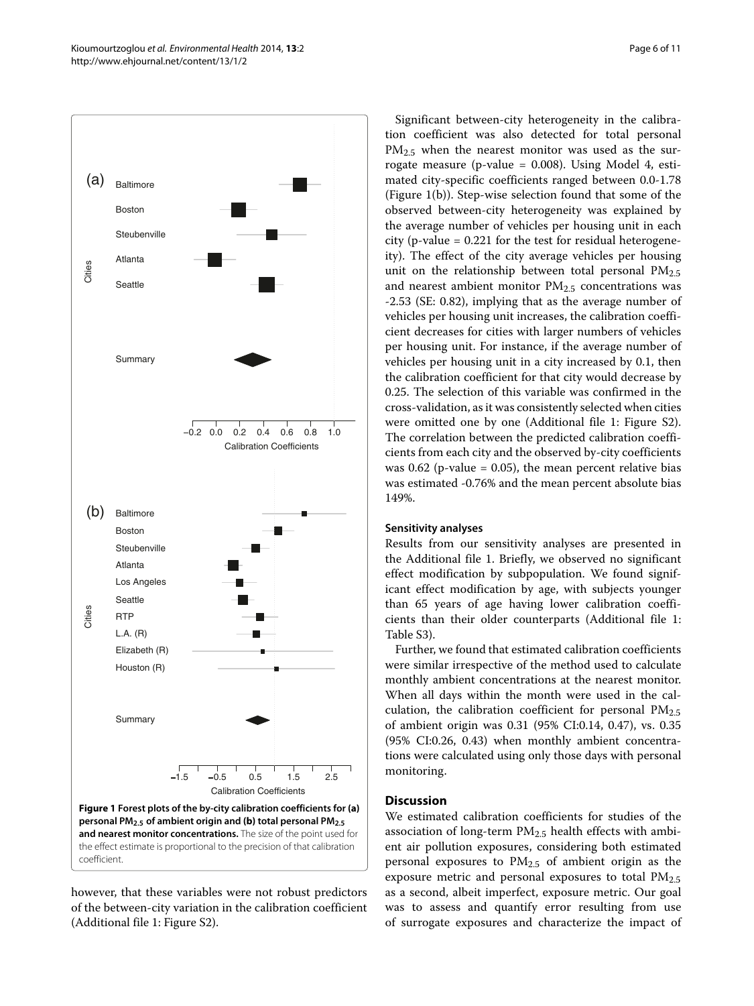

<span id="page-5-0"></span>however, that these variables were not robust predictors of the between-city variation in the calibration coefficient (Additional file [1:](#page-8-3) Figure S2).

Significant between-city heterogeneity in the calibration coefficient was also detected for total personal  $PM_{2.5}$  when the nearest monitor was used as the surrogate measure (p-value = 0.008). Using Model [4,](#page-3-2) estimated city-specific coefficients ranged between 0.0-1.78 (Figure [1\(](#page-5-0)b)). Step-wise selection found that some of the observed between-city heterogeneity was explained by the average number of vehicles per housing unit in each city (p-value = 0.221 for the test for residual heterogeneity). The effect of the city average vehicles per housing unit on the relationship between total personal  $PM_{2.5}$ and nearest ambient monitor  $PM<sub>2.5</sub>$  concentrations was -2.53 (SE: 0.82), implying that as the average number of vehicles per housing unit increases, the calibration coefficient decreases for cities with larger numbers of vehicles per housing unit. For instance, if the average number of vehicles per housing unit in a city increased by 0.1, then the calibration coefficient for that city would decrease by 0.25. The selection of this variable was confirmed in the cross-validation, as it was consistently selected when cities were omitted one by one (Additional file [1:](#page-8-3) Figure S2). The correlation between the predicted calibration coefficients from each city and the observed by-city coefficients was  $0.62$  (p-value = 0.05), the mean percent relative bias was estimated -0.76% and the mean percent absolute bias 149%.

# **Sensitivity analyses**

Results from our sensitivity analyses are presented in the Additional file [1.](#page-8-3) Briefly, we observed no significant effect modification by subpopulation. We found significant effect modification by age, with subjects younger than 65 years of age having lower calibration coefficients than their older counterparts (Additional file [1:](#page-8-3) Table S3).

Further, we found that estimated calibration coefficients were similar irrespective of the method used to calculate monthly ambient concentrations at the nearest monitor. When all days within the month were used in the calculation, the calibration coefficient for personal  $PM<sub>2.5</sub>$ of ambient origin was 0.31 (95% CI:0.14, 0.47), vs. 0.35 (95% CI:0.26, 0.43) when monthly ambient concentrations were calculated using only those days with personal monitoring.

# **Discussion**

We estimated calibration coefficients for studies of the association of long-term  $PM_{2.5}$  health effects with ambient air pollution exposures, considering both estimated personal exposures to  $PM_{2.5}$  of ambient origin as the exposure metric and personal exposures to total  $PM_{2.5}$ as a second, albeit imperfect, exposure metric. Our goal was to assess and quantify error resulting from use of surrogate exposures and characterize the impact of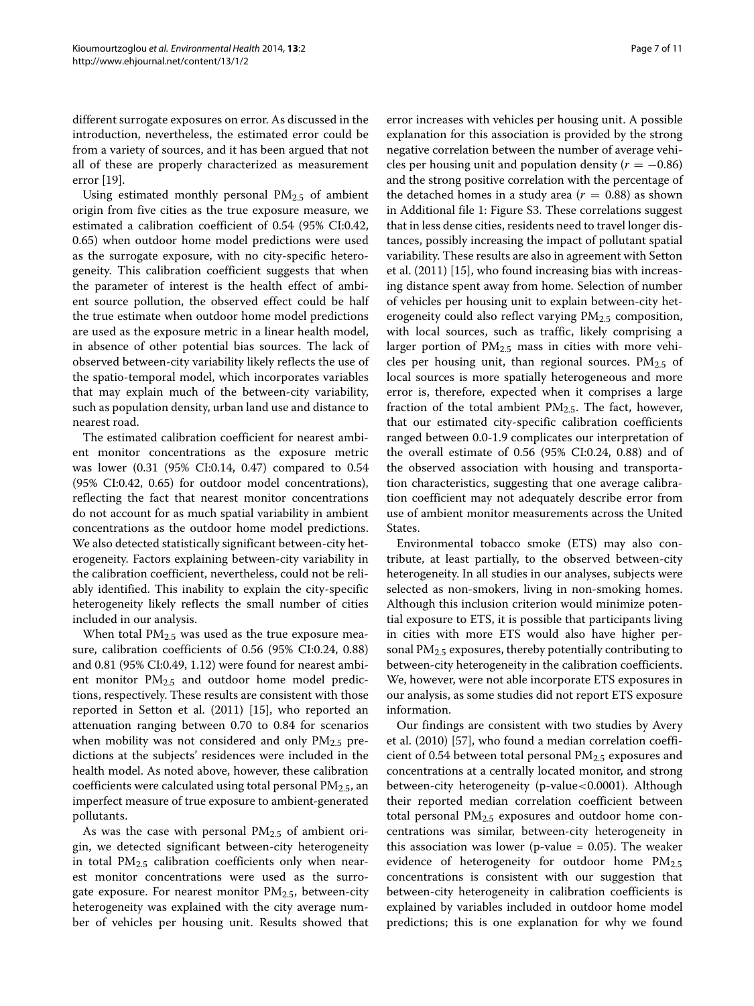different surrogate exposures on error. As discussed in the introduction, nevertheless, the estimated error could be from a variety of sources, and it has been argued that not all of these are properly characterized as measurement error [\[19\]](#page-9-8).

Using estimated monthly personal PM2.5 of ambient origin from five cities as the true exposure measure, we estimated a calibration coefficient of 0.54 (95% CI:0.42, 0.65) when outdoor home model predictions were used as the surrogate exposure, with no city-specific heterogeneity. This calibration coefficient suggests that when the parameter of interest is the health effect of ambient source pollution, the observed effect could be half the true estimate when outdoor home model predictions are used as the exposure metric in a linear health model, in absence of other potential bias sources. The lack of observed between-city variability likely reflects the use of the spatio-temporal model, which incorporates variables that may explain much of the between-city variability, such as population density, urban land use and distance to nearest road.

The estimated calibration coefficient for nearest ambient monitor concentrations as the exposure metric was lower (0.31 (95% CI:0.14, 0.47) compared to 0.54 (95% CI:0.42, 0.65) for outdoor model concentrations), reflecting the fact that nearest monitor concentrations do not account for as much spatial variability in ambient concentrations as the outdoor home model predictions. We also detected statistically significant between-city heterogeneity. Factors explaining between-city variability in the calibration coefficient, nevertheless, could not be reliably identified. This inability to explain the city-specific heterogeneity likely reflects the small number of cities included in our analysis.

When total  $PM<sub>2.5</sub>$  was used as the true exposure measure, calibration coefficients of 0.56 (95% CI:0.24, 0.88) and 0.81 (95% CI:0.49, 1.12) were found for nearest ambient monitor  $PM_{2.5}$  and outdoor home model predictions, respectively. These results are consistent with those reported in Setton et al. (2011) [\[15\]](#page-9-5), who reported an attenuation ranging between 0.70 to 0.84 for scenarios when mobility was not considered and only  $PM_{2.5}$  predictions at the subjects' residences were included in the health model. As noted above, however, these calibration coefficients were calculated using total personal  $PM_{2.5}$ , an imperfect measure of true exposure to ambient-generated pollutants.

As was the case with personal  $PM<sub>2.5</sub>$  of ambient origin, we detected significant between-city heterogeneity in total PM2.5 calibration coefficients only when nearest monitor concentrations were used as the surrogate exposure. For nearest monitor  $PM_{2.5}$ , between-city heterogeneity was explained with the city average number of vehicles per housing unit. Results showed that error increases with vehicles per housing unit. A possible explanation for this association is provided by the strong negative correlation between the number of average vehicles per housing unit and population density  $(r = -0.86)$ and the strong positive correlation with the percentage of the detached homes in a study area  $(r = 0.88)$  as shown in Additional file [1:](#page-8-3) Figure S3. These correlations suggest that in less dense cities, residents need to travel longer distances, possibly increasing the impact of pollutant spatial variability. These results are also in agreement with Setton et al. (2011) [\[15\]](#page-9-5), who found increasing bias with increasing distance spent away from home. Selection of number of vehicles per housing unit to explain between-city heterogeneity could also reflect varying  $PM<sub>2.5</sub>$  composition, with local sources, such as traffic, likely comprising a larger portion of  $PM_{2.5}$  mass in cities with more vehicles per housing unit, than regional sources.  $PM<sub>2.5</sub>$  of local sources is more spatially heterogeneous and more error is, therefore, expected when it comprises a large fraction of the total ambient  $PM_{2.5}$ . The fact, however, that our estimated city-specific calibration coefficients ranged between 0.0-1.9 complicates our interpretation of the overall estimate of 0.56 (95% CI:0.24, 0.88) and of the observed association with housing and transportation characteristics, suggesting that one average calibration coefficient may not adequately describe error from use of ambient monitor measurements across the United States.

Environmental tobacco smoke (ETS) may also contribute, at least partially, to the observed between-city heterogeneity. In all studies in our analyses, subjects were selected as non-smokers, living in non-smoking homes. Although this inclusion criterion would minimize potential exposure to ETS, it is possible that participants living in cities with more ETS would also have higher personal  $PM<sub>2.5</sub>$  exposures, thereby potentially contributing to between-city heterogeneity in the calibration coefficients. We, however, were not able incorporate ETS exposures in our analysis, as some studies did not report ETS exposure information.

Our findings are consistent with two studies by Avery et al. (2010) [\[57\]](#page-10-11), who found a median correlation coefficient of 0.54 between total personal  $PM_{2.5}$  exposures and concentrations at a centrally located monitor, and strong between-city heterogeneity (p-value*<*0.0001). Although their reported median correlation coefficient between total personal  $PM_{2.5}$  exposures and outdoor home concentrations was similar, between-city heterogeneity in this association was lower (p-value  $= 0.05$ ). The weaker evidence of heterogeneity for outdoor home PM2.5 concentrations is consistent with our suggestion that between-city heterogeneity in calibration coefficients is explained by variables included in outdoor home model predictions; this is one explanation for why we found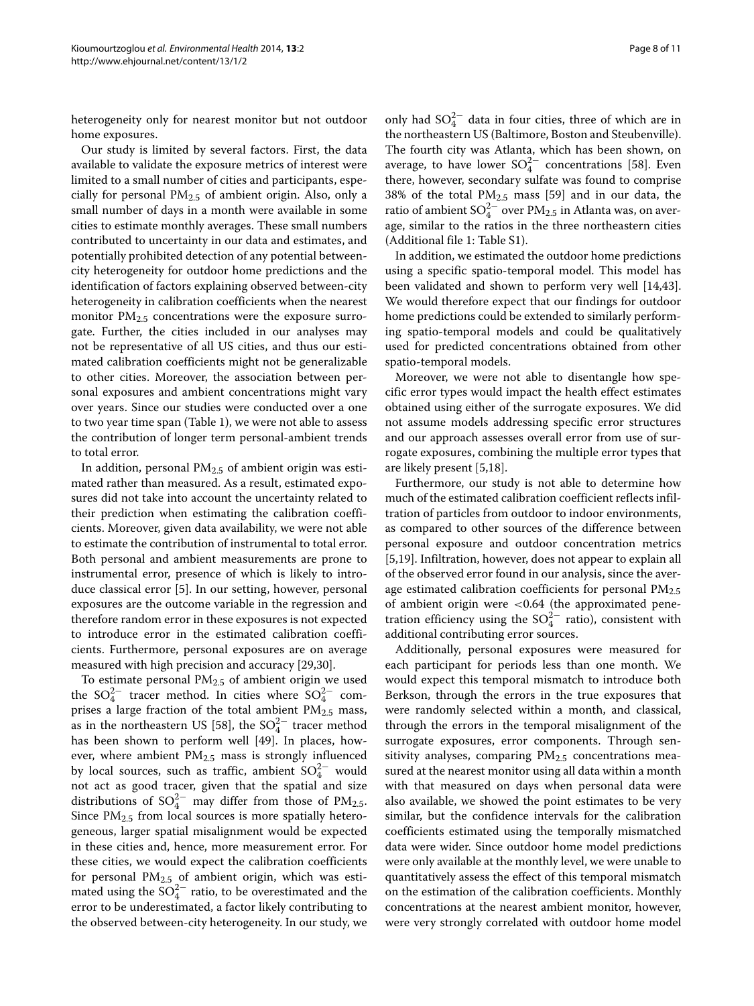heterogeneity only for nearest monitor but not outdoor home exposures.

Our study is limited by several factors. First, the data available to validate the exposure metrics of interest were limited to a small number of cities and participants, especially for personal  $PM<sub>2.5</sub>$  of ambient origin. Also, only a small number of days in a month were available in some cities to estimate monthly averages. These small numbers contributed to uncertainty in our data and estimates, and potentially prohibited detection of any potential betweencity heterogeneity for outdoor home predictions and the identification of factors explaining observed between-city heterogeneity in calibration coefficients when the nearest monitor  $PM_{2.5}$  concentrations were the exposure surrogate. Further, the cities included in our analyses may not be representative of all US cities, and thus our estimated calibration coefficients might not be generalizable to other cities. Moreover, the association between personal exposures and ambient concentrations might vary over years. Since our studies were conducted over a one to two year time span (Table [1\)](#page-2-0), we were not able to assess the contribution of longer term personal-ambient trends to total error.

In addition, personal  $PM<sub>2.5</sub>$  of ambient origin was estimated rather than measured. As a result, estimated exposures did not take into account the uncertainty related to their prediction when estimating the calibration coefficients. Moreover, given data availability, we were not able to estimate the contribution of instrumental to total error. Both personal and ambient measurements are prone to instrumental error, presence of which is likely to introduce classical error [\[5\]](#page-8-2). In our setting, however, personal exposures are the outcome variable in the regression and therefore random error in these exposures is not expected to introduce error in the estimated calibration coefficients. Furthermore, personal exposures are on average measured with high precision and accuracy [\[29,](#page-9-16)[30\]](#page-9-21).

To estimate personal  $PM<sub>2.5</sub>$  of ambient origin we used the  $SO_4^{2-}$  tracer method. In cities where  $SO_4^{2-}$  comprises a large fraction of the total ambient PM<sub>2.5</sub> mass, as in the northeastern US [\[58\]](#page-10-12), the  $SO_4^{2-}$  tracer method has been shown to perform well [\[49\]](#page-10-3). In places, however, where ambient PM2.5 mass is strongly influenced by local sources, such as traffic, ambient  $SO_4^{2-}$  would not act as good tracer, given that the spatial and size distributions of  $SO_4^{2-}$  may differ from those of PM<sub>2.5</sub>. Since PM<sub>2.5</sub> from local sources is more spatially heterogeneous, larger spatial misalignment would be expected in these cities and, hence, more measurement error. For these cities, we would expect the calibration coefficients for personal PM2.5 of ambient origin, which was estimated using the  $SO_4^{2-}$  ratio, to be overestimated and the error to be underestimated, a factor likely contributing to the observed between-city heterogeneity. In our study, we

only had  $SO_4^{2-}$  data in four cities, three of which are in the northeastern US (Baltimore, Boston and Steubenville). The fourth city was Atlanta, which has been shown, on average, to have lower  $\mathrm{SO}_4^{2-}$  concentrations [\[58\]](#page-10-12). Even there, however, secondary sulfate was found to comprise 38% of the total  $PM_{2.5}$  mass [\[59\]](#page-10-13) and in our data, the ratio of ambient  $\text{SO}_4^{2-}$  over  $\text{PM}_{2.5}$  in Atlanta was, on average, similar to the ratios in the three northeastern cities (Additional file [1:](#page-8-3) Table S1).

In addition, we estimated the outdoor home predictions using a specific spatio-temporal model. This model has been validated and shown to perform very well [\[14,](#page-9-4)[43\]](#page-9-19). We would therefore expect that our findings for outdoor home predictions could be extended to similarly performing spatio-temporal models and could be qualitatively used for predicted concentrations obtained from other spatio-temporal models.

Moreover, we were not able to disentangle how specific error types would impact the health effect estimates obtained using either of the surrogate exposures. We did not assume models addressing specific error structures and our approach assesses overall error from use of surrogate exposures, combining the multiple error types that are likely present [\[5,](#page-8-2)[18\]](#page-9-9).

Furthermore, our study is not able to determine how much of the estimated calibration coefficient reflects infiltration of particles from outdoor to indoor environments, as compared to other sources of the difference between personal exposure and outdoor concentration metrics [\[5](#page-8-2)[,19\]](#page-9-8). Infiltration, however, does not appear to explain all of the observed error found in our analysis, since the average estimated calibration coefficients for personal  $PM_{2.5}$ of ambient origin were *<*0.64 (the approximated penetration efficiency using the  $SO_4^{2-}$  ratio), consistent with additional contributing error sources.

Additionally, personal exposures were measured for each participant for periods less than one month. We would expect this temporal mismatch to introduce both Berkson, through the errors in the true exposures that were randomly selected within a month, and classical, through the errors in the temporal misalignment of the surrogate exposures, error components. Through sensitivity analyses, comparing  $PM<sub>2.5</sub>$  concentrations measured at the nearest monitor using all data within a month with that measured on days when personal data were also available, we showed the point estimates to be very similar, but the confidence intervals for the calibration coefficients estimated using the temporally mismatched data were wider. Since outdoor home model predictions were only available at the monthly level, we were unable to quantitatively assess the effect of this temporal mismatch on the estimation of the calibration coefficients. Monthly concentrations at the nearest ambient monitor, however, were very strongly correlated with outdoor home model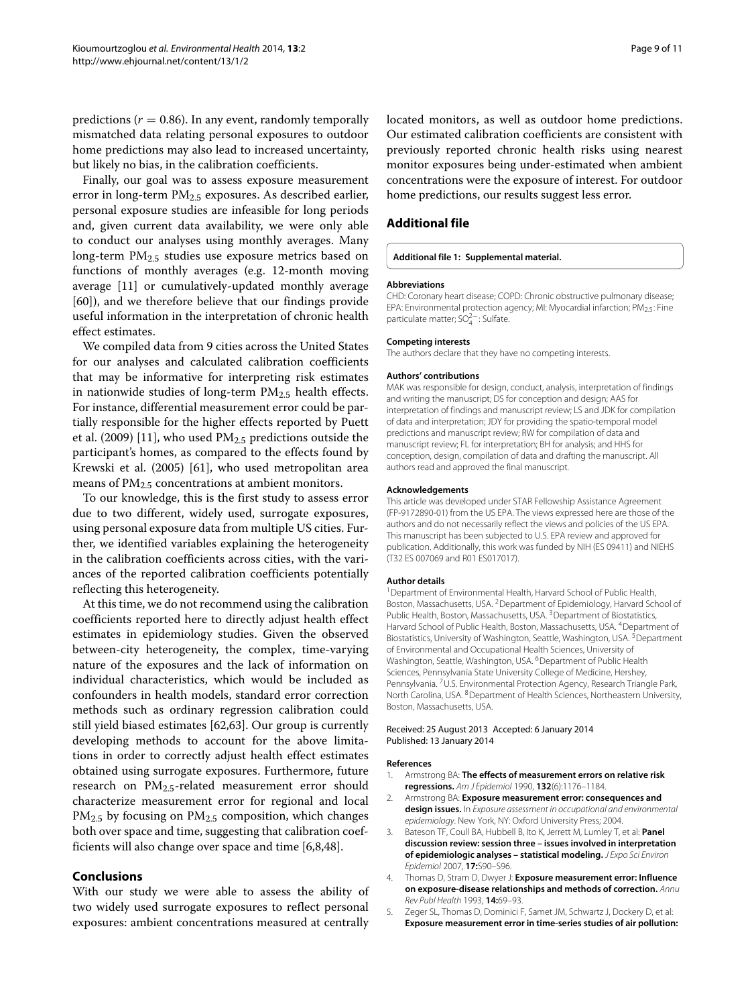predictions ( $r = 0.86$ ). In any event, randomly temporally mismatched data relating personal exposures to outdoor home predictions may also lead to increased uncertainty, but likely no bias, in the calibration coefficients.

Finally, our goal was to assess exposure measurement error in long-term  $PM<sub>2.5</sub>$  exposures. As described earlier, personal exposure studies are infeasible for long periods and, given current data availability, we were only able to conduct our analyses using monthly averages. Many long-term PM<sub>2.5</sub> studies use exposure metrics based on functions of monthly averages (e.g. 12-month moving average [\[11\]](#page-9-34) or cumulatively-updated monthly average [\[60\]](#page-10-14)), and we therefore believe that our findings provide useful information in the interpretation of chronic health effect estimates.

We compiled data from 9 cities across the United States for our analyses and calculated calibration coefficients that may be informative for interpreting risk estimates in nationwide studies of long-term  $PM<sub>2.5</sub>$  health effects. For instance, differential measurement error could be partially responsible for the higher effects reported by Puett et al. (2009) [\[11\]](#page-9-34), who used  $PM<sub>2.5</sub>$  predictions outside the participant's homes, as compared to the effects found by Krewski et al. (2005) [\[61\]](#page-10-15), who used metropolitan area means of PM<sub>2.5</sub> concentrations at ambient monitors.

To our knowledge, this is the first study to assess error due to two different, widely used, surrogate exposures, using personal exposure data from multiple US cities. Further, we identified variables explaining the heterogeneity in the calibration coefficients across cities, with the variances of the reported calibration coefficients potentially reflecting this heterogeneity.

At this time, we do not recommend using the calibration coefficients reported here to directly adjust health effect estimates in epidemiology studies. Given the observed between-city heterogeneity, the complex, time-varying nature of the exposures and the lack of information on individual characteristics, which would be included as confounders in health models, standard error correction methods such as ordinary regression calibration could still yield biased estimates [\[62,](#page-10-16)[63\]](#page-10-17). Our group is currently developing methods to account for the above limitations in order to correctly adjust health effect estimates obtained using surrogate exposures. Furthermore, future research on  $PM_{2.5}$ -related measurement error should characterize measurement error for regional and local  $PM_{2.5}$  by focusing on  $PM_{2.5}$  composition, which changes both over space and time, suggesting that calibration coefficients will also change over space and time [\[6,](#page-9-0)[8,](#page-9-2)[48\]](#page-10-2).

# **Conclusions**

With our study we were able to assess the ability of two widely used surrogate exposures to reflect personal exposures: ambient concentrations measured at centrally

located monitors, as well as outdoor home predictions. Our estimated calibration coefficients are consistent with previously reported chronic health risks using nearest monitor exposures being under-estimated when ambient concentrations were the exposure of interest. For outdoor home predictions, our results suggest less error.

# **Additional file**

#### <span id="page-8-3"></span>**[Additional file 1:](http://www.biomedcentral.com/content/supplementary/1476-069X-13-2-S1.pdf) Supplemental material.**

#### **Abbreviations**

CHD: Coronary heart disease; COPD: Chronic obstructive pulmonary disease; EPA: Environmental protection agency; MI: Myocardial infarction; PM<sub>2.5</sub>: Fine particulate matter; SO<sup>2</sup><sup>−</sup>: Sulfate.

#### **Competing interests**

The authors declare that they have no competing interests.

#### **Authors' contributions**

MAK was responsible for design, conduct, analysis, interpretation of findings and writing the manuscript; DS for conception and design; AAS for interpretation of findings and manuscript review; LS and JDK for compilation of data and interpretation; JDY for providing the spatio-temporal model predictions and manuscript review; RW for compilation of data and manuscript review; FL for interpretation; BH for analysis; and HHS for conception, design, compilation of data and drafting the manuscript. All authors read and approved the final manuscript.

#### **Acknowledgements**

This article was developed under STAR Fellowship Assistance Agreement (FP-9172890-01) from the US EPA. The views expressed here are those of the authors and do not necessarily reflect the views and policies of the US EPA. This manuscript has been subjected to U.S. EPA review and approved for publication. Additionally, this work was funded by NIH (ES 09411) and NIEHS (T32 ES 007069 and R01 ES017017).

#### **Author details**

<sup>1</sup> Department of Environmental Health, Harvard School of Public Health, Boston, Massachusetts, USA. 2Department of Epidemiology, Harvard School of Public Health, Boston, Massachusetts, USA.<sup>3</sup> Department of Biostatistics, Harvard School of Public Health, Boston, Massachusetts, USA. <sup>4</sup>Department of Biostatistics, University of Washington, Seattle, Washington, USA. <sup>5</sup> Department of Environmental and Occupational Health Sciences, University of Washington, Seattle, Washington, USA. <sup>6</sup>Department of Public Health Sciences, Pennsylvania State University College of Medicine, Hershey, Pennsylvania. <sup>7</sup>U.S. Environmental Protection Agency, Research Triangle Park, North Carolina, USA. <sup>8</sup>Department of Health Sciences, Northeastern University, Boston, Massachusetts, USA.

#### Received: 25 August 2013 Accepted: 6 January 2014 Published: 13 January 2014

#### **References**

- <span id="page-8-0"></span>Armstrong BA: **The effects of measurement errors on relative risk regressions.** Am J Epidemiol 1990, **132**(6):1176–1184.
- 2. Armstrong BA: **Exposure measurement error: consequences and design issues.** In Exposure assessment in occupational and environmental epidemiology. New York, NY: Oxford University Press; 2004.
- <span id="page-8-1"></span>3. Bateson TF, Coull BA, Hubbell B, Ito K, Jerrett M, Lumley T, et al: **Panel discussion review: session three – issues involved in interpretation of epidemiologic analyses – statistical modeling.** J Expo Sci Environ Epidemiol 2007, **17:**S90–S96.
- 4. Thomas D, Stram D, Dwyer J: **Exposure measurement error: Influence on exposure-disease relationships and methods of correction.** Annu Rev Publ Health 1993, **14:**69–93.
- <span id="page-8-2"></span>5. Zeger SL, Thomas D, Dominici F, Samet JM, Schwartz J, Dockery D, et al: **Exposure measurement error in time-series studies of air pollution:**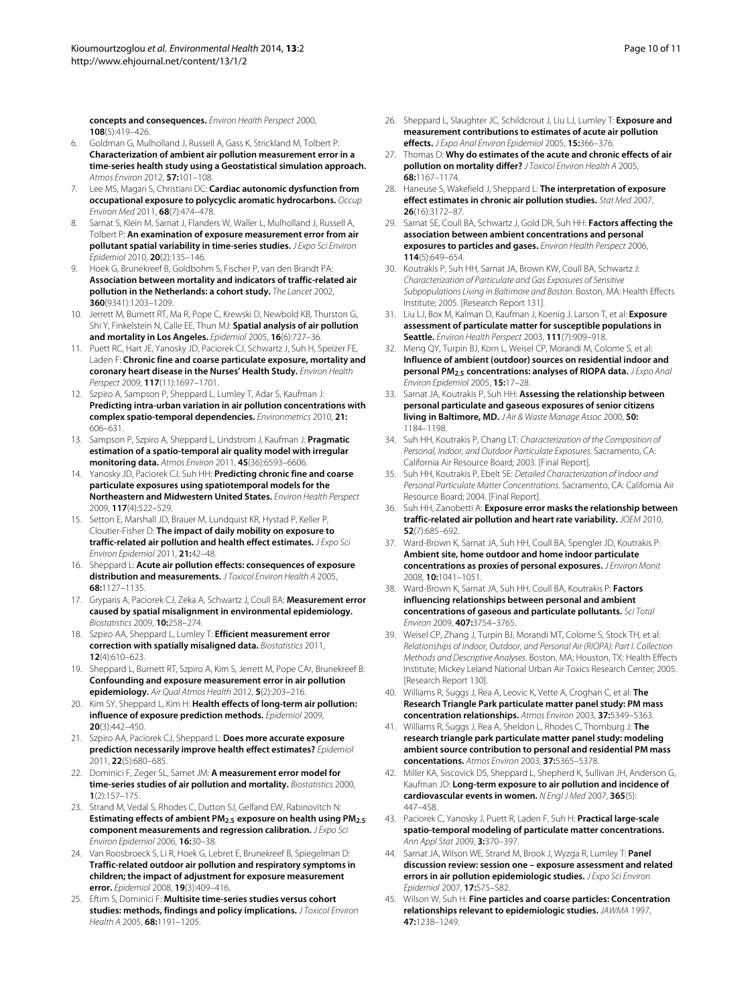**concepts and consequences.** Environ Health Perspect 2000, **108**(5):419–426.

- <span id="page-9-0"></span>6. Goldman G, Mulholland J, Russell A, Gass K, Strickland M, Tolbert P: **Characterization of ambient air pollution measurement error in a time-series health study using a Geostatistical simulation approach.** Atmos Environ 2012, **57:**101–108.
- <span id="page-9-1"></span>7. Lee MS, Magari S, Christiani DC: **Cardiac autonomic dysfunction from occupational exposure to polycyclic aromatic hydrocarbons.** Occup Environ Med 2011, **68**(7):474–478.
- <span id="page-9-2"></span>8. Sarnat S, Klein M, Sarnat J, Flanders W, Waller L, Mulholland J, Russell A, Tolbert P: **An examination of exposure measurement error from air pollutant spatial variability in time-series studies.** *J Expo Sci Environ* Epidemiol 2010, **20**(2):135–146.
- <span id="page-9-3"></span>9. Hoek G, Brunekreef B, Goldbohm S, Fischer P, van den Brandt PA: **Association between mortality and indicators of traffic-related air pollution in the Netherlands: a cohort study.** The Lancet 2002, **360**(9341):1203–1209.
- 10. Jerrett M, Burnett RT, Ma R, Pope C, Krewski D, Newbold KB, Thurston G, Shi Y, Finkelstein N, Calle EE, Thun MJ: **Spatial analysis of air pollution and mortality in Los Angeles.** Epidemiol 2005, **16**(6):727–36.
- <span id="page-9-34"></span>11. Puett RC, Hart JE, Yanosky JD, Paciorek CJ, Schwartz J, Suh H, Speizer FE, Laden F: **Chronic fine and coarse particulate exposure, mortality and coronary heart disease in the Nurses' Health Study.** Environ Health Perspect 2009, **117**(11):1697–1701.
- 12. Szpiro A, Sampson P, Sheppard L, Lumley T, Adar S, Kaufman J: **Predicting intra-urban variation in air pollution concentrations with complex spatio-temporal dependencies.** Environmetrics 2010, **21:** 606–631.
- 13. Sampson P, Szpiro A, Sheppard L, Lindstrom J, Kaufman J: **Pragmatic estimation of a spatio-temporal air quality model with irregular monitoring data.** Atmos Environ 2011, **45**(36):6593–6606.
- <span id="page-9-4"></span>14. Yanosky JD, Paciorek CJ, Suh HH: **Predicting chronic fine and coarse particulate exposures using spatiotemporal models for the Northeastern and Midwestern United States.** Environ Health Perspect 2009, **117**(4):522–529.
- <span id="page-9-5"></span>15. Setton E, Marshall JD, Brauer M, Lundquist KR, Hystad P, Keller P, Cloutier-Fisher D: **The impact of daily mobility on exposure to traffic-related air pollution and health effect estimates.** J Expo Sci Environ Epidemiol 2011, **21:**42–48.
- <span id="page-9-6"></span>16. Sheppard L: **Acute air pollution effects: consequences of exposure distribution and measurements.** J Toxicol Environ Health A 2005, **68:**1127–1135.
- <span id="page-9-7"></span>17. Gryparis A, Paciorek CJ, Zeka A, Schwartz J, Coull BA: **Measurement error caused by spatial misalignment in environmental epidemiology.** Biostatistics 2009, **10:**258–274.
- <span id="page-9-9"></span>18. Szpiro AA, Sheppard L, Lumley T: **Efficient measurement error correction with spatially misaligned data.** Biostatistics 2011, **12**(4):610–623.
- <span id="page-9-8"></span>19. Sheppard L, Burnett RT, Szpiro A, Kim S, Jerrett M, Pope CAr, Brunekreef B: **Confounding and exposure measurement error in air pollution epidemiology.** Air Qual Atmos Health 2012, **5**(2):203–216.
- <span id="page-9-10"></span>20. Kim SY, Sheppard L, Kim H: **Health effects of long-term air pollution: influence of exposure prediction methods.** Epidemiol 2009, **20**(3):442–450.
- <span id="page-9-11"></span>21. Szpiro AA, Paciorek CJ, Sheppard L: **Does more accurate exposure prediction necessarily improve health effect estimates?** Epidemiol 2011, **22**(5):680–685.
- <span id="page-9-12"></span>22. Dominici F, Zeger SL, Samet JM: **A measurement error model for time-series studies of air pollution and mortality.** Biostatistics 2000, **1**(2):157–175.
- 23. Strand M, Vedal S, Rhodes C, Dutton SJ, Gelfand EW, Rabinovitch N: **Estimating effects of ambient PM2.5 exposure on health using PM2.5 component measurements and regression calibration.** J Expo Sci Environ Epidemiol 2006, **16:**30–38.
- <span id="page-9-13"></span>24. Van Roosbroeck S, Li R, Hoek G, Lebret E, Brunekreef B, Spiegelman D: **Traffic-related outdoor air pollution and respiratory symptoms in children; the impact of adjustment for exposure measurement error.** Epidemiol 2008, **19**(3):409–416.
- <span id="page-9-14"></span>25. Eftim S, Dominici F: **Multisite time-series studies versus cohort studies: methods, findings and policy implications.** J Toxicol Environ Health A 2005, **68:**1191–1205.
- <span id="page-9-31"></span>26. Sheppard L, Slaughter JC, Schildcrout J, Liu LJ, Lumley T: **Exposure and measurement contributions to estimates of acute air pollution effects.** J Expo Anal Environ Epidemiol 2005, **15:**366–376.
- 27. Thomas D: **Why do estimates of the acute and chronic effects of air pollution on mortality differ?** J Toxicol Environ Health A 2005, **68:**1167–1174.
- <span id="page-9-15"></span>28. Haneuse S, Wakefield J, Sheppard L: **The interpretation of exposure effect estimates in chronic air pollution studies.** Stat Med 2007, **26**(16):3172–87.
- <span id="page-9-16"></span>29. Sarnat SE, Coull BA, Schwartz J, Gold DR, Suh HH: **Factors affecting the association between ambient concentrations and personal exposures to particles and gases.** Environ Health Perspect 2006, **114**(5):649–654.
- <span id="page-9-21"></span>30. Koutrakis P, Suh HH, Sarnat JA, Brown KW, Coull BA, Schwartz J: Characterization of Particulate and Gas Exposures of Sensitive Subpopulations Living in Baltimore and Boston. Boston, MA: Health Effects Institute; 2005. [Research Report 131].
- <span id="page-9-30"></span>31. Liu LJ, Box M, Kalman D, Kaufman J, Koenig J, Larson T, et al: **Exposure assessment of particulate matter for susceptible populations in Seattle.** Environ Health Perspect 2003, **111**(7):909–918.
- <span id="page-9-28"></span>32. Meng QY, Turpin BJ, Korn L, Weisel CP, Morandi M, Colome S, et al: **Influence of ambient (outdoor) sources on residential indoor and personal PM2.5 concentrations: analyses of RIOPA data.** J Expo Anal Environ Epidemiol 2005, **15:**17–28.
- <span id="page-9-22"></span>33. Sarnat JA, Koutrakis P, Suh HH: **Assessing the relationship between personal particulate and gaseous exposures of senior citizens living in Baltimore, MD.** J Air & Waste Manage Assoc 2000, **50:** 1184–1198.
- <span id="page-9-25"></span>34. Suh HH, Koutrakis P, Chang LT: Characterization of the Composition of Personal, Indoor, and Outdoor Particulate Exposures. Sacramento, CA: California Air Resource Board; 2003. [Final Report].
- <span id="page-9-26"></span>35. Suh HH, Koutrakis P, Ebelt SE: Detailed Characterization of Indoor and Personal Particulate Matter Concentrations. Sacramento, CA: California Air Resource Board; 2004. [Final Report].
- <span id="page-9-20"></span>36. Suh HH, Zanobetti A: **Exposure error masks the relationship between traffic-related air pollution and heart rate variability.** JOEM 2010, **52**(7):685–692.
- <span id="page-9-23"></span>37. Ward-Brown K, Sarnat JA, Suh HH, Coull BA, Spengler JD, Koutrakis P: **Ambient site, home outdoor and home indoor particulate concentrations as proxies of personal exposures.** J Environ Monit 2008, **10:**1041–1051.
- <span id="page-9-24"></span>38. Ward-Brown K, Sarnat JA, Suh HH, Coull BA, Koutrakis P: **Factors influencing relationships between personal and ambient concentrations of gaseous and particulate pollutants.** Sci Total Environ 2009, **407:**3754–3765.
- <span id="page-9-29"></span>39. Weisel CP, Zhang J, Turpin BJ, Morandi MT, Colome S, Stock TH, et al: Relationships of Indoor, Outdoor, and Personal Air (RIOPA): Part I. Collection Methods and Descriptive Analyses. Boston, MA; Houston, TX: Health Effects Institute; Mickey Leland National Urban Air Toxics Research Center; 2005. [Research Report 130].
- <span id="page-9-27"></span>40. Williams R, Suggs J, Rea A, Leovic K, Vette A, Croghan C, et al: **The Research Triangle Park particulate matter panel study: PM mass concentration relationships.** Atmos Environ 2003, **37:**5349–5363.
- <span id="page-9-17"></span>41. Williams R, Suggs J, Rea A, Sheldon L, Rhodes C, Thornburg J: **The research triangle park particulate matter panel study: modeling ambient source contribution to personal and residential PM mass concentations.** Atmos Environ 2003, **37:**5365–5378.
- <span id="page-9-18"></span>42. Miller KA, Siscovick DS, Sheppard L, Shepherd K, Sullivan JH, Anderson G, Kaufman JD: **Long-term exposure to air pollution and incidence of cardiovascular events in women.** N Engl J Med 2007, **365**(5): 447–458.
- <span id="page-9-19"></span>43. Paciorek C, Yanosky J, Puett R, Laden F, Suh H: **Practical large-scale spatio-temporal modeling of particulate matter concentrations.** Ann Appl Stat 2009, **3:**370–397.
- <span id="page-9-32"></span>44. Sarnat JA, Wilson WE, Strand M, Brook J, Wyzga R, Lumley T: **Panel discussion review: session one – exposure assessment and related errors in air pollution epidemiologic studies.** J Expo Sci Environ Epidemiol 2007, **17:**S75–S82.
- <span id="page-9-33"></span>45. Wilson W, Suh H: **Fine particles and coarse particles: Concentration relationships relevant to epidemiologic studies.** JAWMA 1997, **47:**1238–1249.